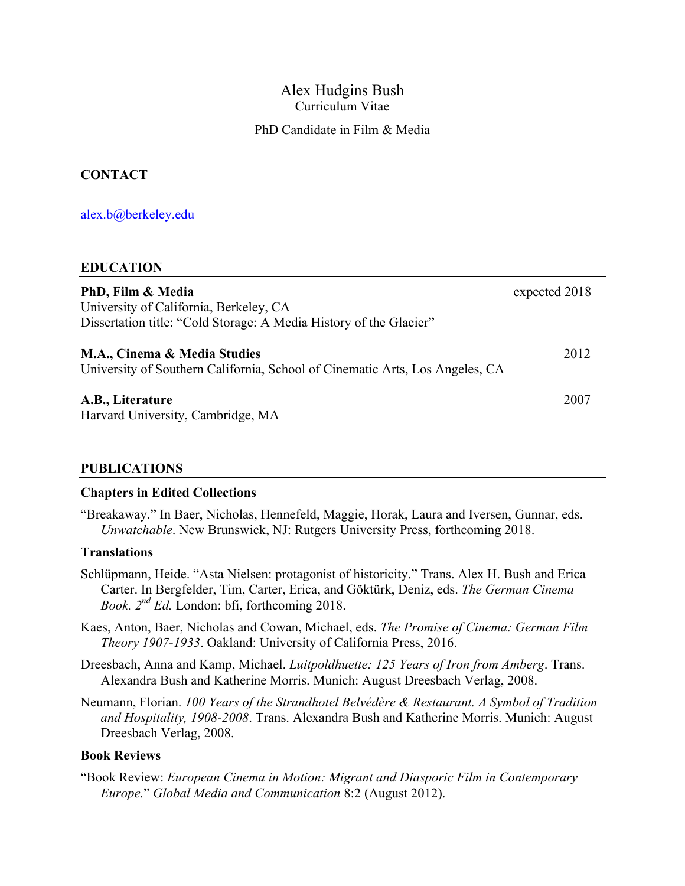## Alex Hudgins Bush Curriculum Vitae

## PhD Candidate in Film & Media

## **CONTACT**

#### alex.b@berkeley.edu

#### **EDUCATION**

| PhD, Film & Media<br>University of California, Berkeley, CA<br>Dissertation title: "Cold Storage: A Media History of the Glacier" | expected 2018 |
|-----------------------------------------------------------------------------------------------------------------------------------|---------------|
| M.A., Cinema & Media Studies<br>University of Southern California, School of Cinematic Arts, Los Angeles, CA                      | 2012          |
| A.B., Literature<br>Harvard University, Cambridge, MA                                                                             | 2007          |

#### **PUBLICATIONS**

#### **Chapters in Edited Collections**

"Breakaway." In Baer, Nicholas, Hennefeld, Maggie, Horak, Laura and Iversen, Gunnar, eds. *Unwatchable*. New Brunswick, NJ: Rutgers University Press, forthcoming 2018.

#### **Translations**

- Schlüpmann, Heide. "Asta Nielsen: protagonist of historicity." Trans. Alex H. Bush and Erica Carter. In Bergfelder, Tim, Carter, Erica, and Göktürk, Deniz, eds. *The German Cinema Book. 2nd Ed.* London: bfi, forthcoming 2018.
- Kaes, Anton, Baer, Nicholas and Cowan, Michael, eds. *The Promise of Cinema: German Film Theory 1907-1933*. Oakland: University of California Press, 2016.
- Dreesbach, Anna and Kamp, Michael. *Luitpoldhuette: 125 Years of Iron from Amberg*. Trans. Alexandra Bush and Katherine Morris. Munich: August Dreesbach Verlag, 2008.
- Neumann, Florian. *100 Years of the Strandhotel Belvédère & Restaurant. A Symbol of Tradition and Hospitality, 1908-2008*. Trans. Alexandra Bush and Katherine Morris. Munich: August Dreesbach Verlag, 2008.

#### **Book Reviews**

"Book Review: *European Cinema in Motion: Migrant and Diasporic Film in Contemporary Europe.*" *Global Media and Communication* 8:2 (August 2012).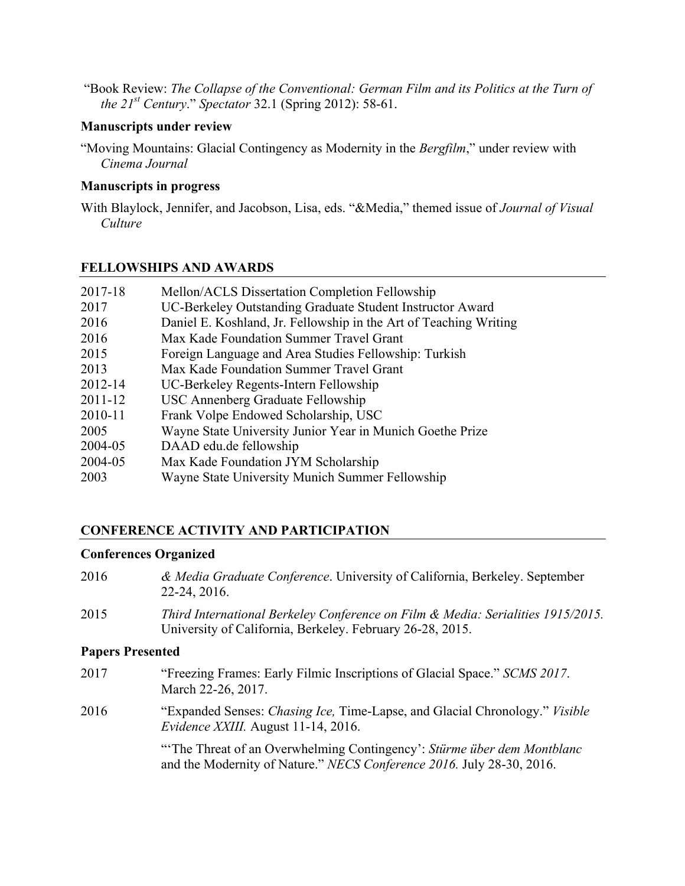"Book Review: *The Collapse of the Conventional: German Film and its Politics at the Turn of the 21st Century*." *Spectator* 32.1 (Spring 2012): 58-61.

#### **Manuscripts under review**

"Moving Mountains: Glacial Contingency as Modernity in the *Bergfilm*," under review with *Cinema Journal*

#### **Manuscripts in progress**

With Blaylock, Jennifer, and Jacobson, Lisa, eds. "&Media," themed issue of *Journal of Visual Culture*

## **FELLOWSHIPS AND AWARDS**

| 2017-18     | Mellon/ACLS Dissertation Completion Fellowship                    |
|-------------|-------------------------------------------------------------------|
| 2017        | UC-Berkeley Outstanding Graduate Student Instructor Award         |
| 2016        | Daniel E. Koshland, Jr. Fellowship in the Art of Teaching Writing |
| 2016        | Max Kade Foundation Summer Travel Grant                           |
| 2015        | Foreign Language and Area Studies Fellowship: Turkish             |
| 2013        | Max Kade Foundation Summer Travel Grant                           |
| 2012-14     | UC-Berkeley Regents-Intern Fellowship                             |
| $2011 - 12$ | USC Annenberg Graduate Fellowship                                 |
| 2010-11     | Frank Volpe Endowed Scholarship, USC                              |
| 2005        | Wayne State University Junior Year in Munich Goethe Prize         |
| 2004-05     | DAAD edu.de fellowship                                            |
| 2004-05     | Max Kade Foundation JYM Scholarship                               |
| 2003        | Wayne State University Munich Summer Fellowship                   |

# **CONFERENCE ACTIVITY AND PARTICIPATION**

## **Conferences Organized**

2016 *& Media Graduate Conference*. University of California, Berkeley. September 22-24, 2016. 2015 *Third International Berkeley Conference on Film & Media: Serialities 1915/2015.* University of California, Berkeley. February 26-28, 2015. **Papers Presented**

2017 "Freezing Frames: Early Filmic Inscriptions of Glacial Space." *SCMS 2017*. March 22-26, 2017. 2016 "Expanded Senses: *Chasing Ice,* Time-Lapse, and Glacial Chronology." *Visible Evidence XXIII.* August 11-14, 2016.

"'The Threat of an Overwhelming Contingency': *Stürme über dem Montblanc* and the Modernity of Nature." *NECS Conference 2016.* July 28-30, 2016.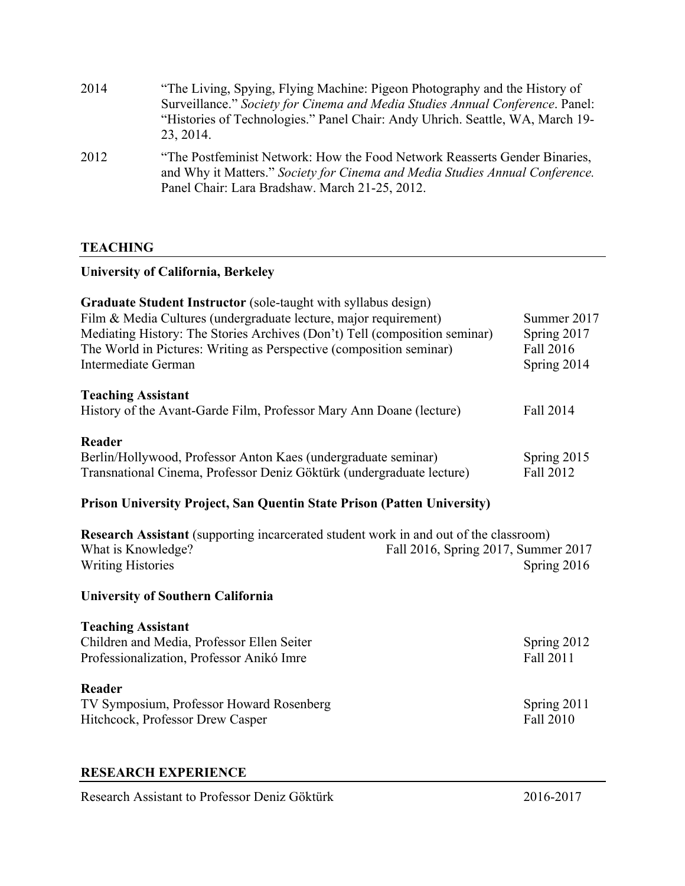| 2014 | "The Living, Spying, Flying Machine: Pigeon Photography and the History of<br>Surveillance." Society for Cinema and Media Studies Annual Conference. Panel:<br>"Histories of Technologies." Panel Chair: Andy Uhrich. Seattle, WA, March 19-<br>23, 2014. |
|------|-----------------------------------------------------------------------------------------------------------------------------------------------------------------------------------------------------------------------------------------------------------|
| 2012 | "The Postfeminist Network: How the Food Network Reasserts Gender Binaries,<br>and Why it Matters." Society for Cinema and Media Studies Annual Conference.<br>Panel Chair: Lara Bradshaw. March 21-25, 2012.                                              |

## **TEACHING**

# **University of California, Berkeley**

| <b>Graduate Student Instructor</b> (sole-taught with syllabus design)<br>Film & Media Cultures (undergraduate lecture, major requirement)<br>Mediating History: The Stories Archives (Don't) Tell (composition seminar) | Summer 2017<br>Spring 2017 |
|-------------------------------------------------------------------------------------------------------------------------------------------------------------------------------------------------------------------------|----------------------------|
| The World in Pictures: Writing as Perspective (composition seminar)                                                                                                                                                     | Fall 2016                  |
| Intermediate German                                                                                                                                                                                                     | Spring 2014                |
| <b>Teaching Assistant</b>                                                                                                                                                                                               |                            |
| History of the Avant-Garde Film, Professor Mary Ann Doane (lecture)                                                                                                                                                     | Fall 2014                  |
| Reader                                                                                                                                                                                                                  |                            |
| Berlin/Hollywood, Professor Anton Kaes (undergraduate seminar)                                                                                                                                                          | Spring 2015                |
| Transnational Cinema, Professor Deniz Göktürk (undergraduate lecture)                                                                                                                                                   | Fall 2012                  |

# **Prison University Project, San Quentin State Prison (Patten University)**

| <b>Research Assistant</b> (supporting incarcerated student work in and out of the classroom) |                                     |
|----------------------------------------------------------------------------------------------|-------------------------------------|
| What is Knowledge?                                                                           | Fall 2016, Spring 2017, Summer 2017 |
| Writing Histories                                                                            | Spring $2016$                       |

#### **University of Southern California**

## **Teaching Assistant**

| Children and Media, Professor Ellen Seiter | Spring 2012 |  |
|--------------------------------------------|-------------|--|
| Professionalization, Professor Anikó Imre  | Fall 2011   |  |
| Reader                                     |             |  |
| TV Symposium, Professor Howard Rosenberg   | Spring 2011 |  |
| Hitchcock, Professor Drew Casper           | Fall 2010   |  |

#### **RESEARCH EXPERIENCE**

Research Assistant to Professor Deniz Göktürk 2016-2017